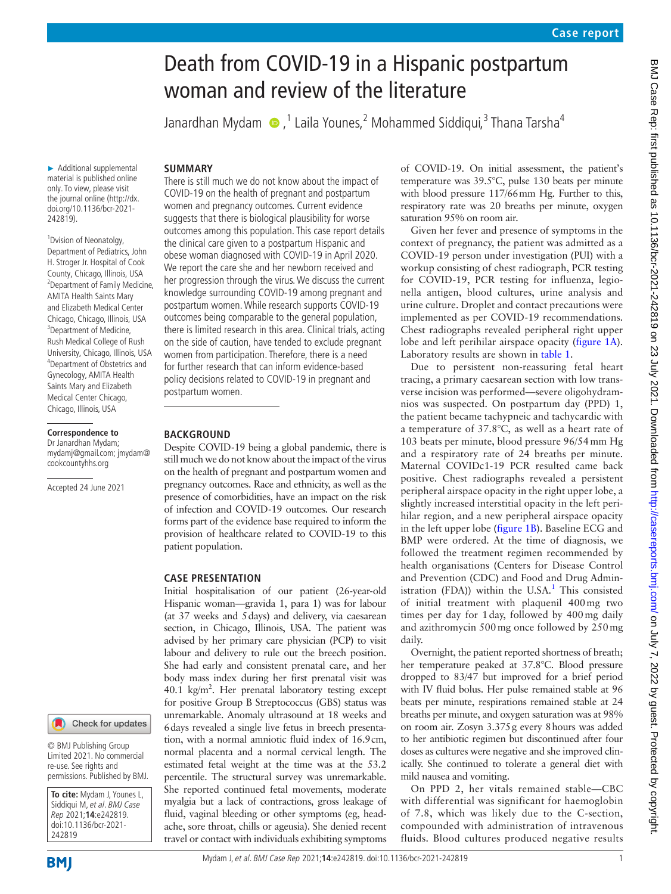# Death from COVID-19 in a Hispanic postpartum woman and review of the literature

Janardhan Mydam (D, <sup>1</sup> Laila Younes, 2 Mohammed Siddiqui, <sup>3</sup> Thana Tarsha<sup>4</sup>

# **SUMMARY**

► Additional supplemental material is published online only. To view, please visit the journal online (http://dx. doi.org/10.1136/bcr-2021- 242819).

<sup>1</sup> Dvision of Neonatolgy, Department of Pediatrics, John H. Stroger Jr. Hospital of Cook County, Chicago, Illinois, USA <sup>2</sup> Department of Family Medicine, AMITA Health Saints Mary and Elizabeth Medical Center Chicago, Chicago, Illinois, USA <sup>3</sup>Department of Medicine, Rush Medical College of Rush University, Chicago, Illinois, USA 4 Department of Obstetrics and Gynecology, AMITA Health Saints Mary and Elizabeth Medical Center Chicago, Chicago, Illinois, USA

### **Correspondence to**

Dr Janardhan Mydam; mydamj@gmail.com; jmydam@ cookcountyhhs.org

Accepted 24 June 2021

#### Check for updates

© BMJ Publishing Group Limited 2021. No commercial re-use. See rights and permissions. Published by BMJ.

**To cite:** Mydam J, Younes L, Siddiqui M, et al. BMJ Case Rep 2021;**14**:e242819. doi:10.1136/bcr-2021- 242819

**BMI** 

Mydam J, et al. BMJ Case Rep 2021;**14**:e242819. doi:10.1136/bcr-2021-242819 1

There is still much we do not know about the impact of COVID-19 on the health of pregnant and postpartum women and pregnancy outcomes. Current evidence suggests that there is biological plausibility for worse outcomes among this population. This case report details the clinical care given to a postpartum Hispanic and obese woman diagnosed with COVID-19 in April 2020. We report the care she and her newborn received and her progression through the virus. We discuss the current knowledge surrounding COVID-19 among pregnant and postpartum women. While research supports COVID-19 outcomes being comparable to the general population, there is limited research in this area. Clinical trials, acting on the side of caution, have tended to exclude pregnant women from participation. Therefore, there is a need for further research that can inform evidence-based policy decisions related to COVID-19 in pregnant and postpartum women.

## **BACKGROUND**

Despite COVID-19 being a global pandemic, there is still much we do not know about the impact of the virus on the health of pregnant and postpartum women and pregnancy outcomes. Race and ethnicity, as well as the presence of comorbidities, have an impact on the risk of infection and COVID-19 outcomes. Our research forms part of the evidence base required to inform the provision of healthcare related to COVID-19 to this patient population.

## **CASE PRESENTATION**

Initial hospitalisation of our patient (26-year-old Hispanic woman—gravida 1, para 1) was for labour (at 37 weeks and 5days) and delivery, via caesarean section, in Chicago, Illinois, USA. The patient was advised by her primary care physician (PCP) to visit labour and delivery to rule out the breech position. She had early and consistent prenatal care, and her body mass index during her first prenatal visit was 40.1 kg/m<sup>2</sup>. Her prenatal laboratory testing except for positive Group B Streptococcus (GBS) status was unremarkable. Anomaly ultrasound at 18 weeks and 6days revealed a single live fetus in breech presentation, with a normal amniotic fluid index of 16.9cm, normal placenta and a normal cervical length. The estimated fetal weight at the time was at the 53.2 percentile. The structural survey was unremarkable. She reported continued fetal movements, moderate myalgia but a lack of contractions, gross leakage of fluid, vaginal bleeding or other symptoms (eg, headache, sore throat, chills or ageusia). She denied recent travel or contact with individuals exhibiting symptoms

of COVID-19. On initial assessment, the patient's temperature was 39.5°C, pulse 130 beats per minute with blood pressure 117/66mm Hg. Further to this, respiratory rate was 20 breaths per minute, oxygen saturation 95% on room air.

Given her fever and presence of symptoms in the context of pregnancy, the patient was admitted as a COVID-19 person under investigation (PUI) with a workup consisting of chest radiograph, PCR testing for COVID-19, PCR testing for influenza, legionella antigen, blood cultures, urine analysis and urine culture. Droplet and contact precautions were implemented as per COVID-19 recommendations. Chest radiographs revealed peripheral right upper lobe and left perihilar airspace opacity [\(figure](#page-1-0) 1A). Laboratory results are shown in [table](#page-2-0) 1.

Due to persistent non-reassuring fetal heart tracing, a primary caesarean section with low transverse incision was performed—severe oligohydramnios was suspected. On postpartum day (PPD) 1, the patient became tachypneic and tachycardic with a temperature of 37.8°C, as well as a heart rate of 103 beats per minute, blood pressure 96/54mm Hg and a respiratory rate of 24 breaths per minute. Maternal COVIDc1-19 PCR resulted came back positive. Chest radiographs revealed a persistent peripheral airspace opacity in the right upper lobe, a slightly increased interstitial opacity in the left perihilar region, and a new peripheral airspace opacity in the left upper lobe [\(figure](#page-1-0) 1B). Baseline ECG and BMP were ordered. At the time of diagnosis, we followed the treatment regimen recommended by health organisations (Centers for Disease Control and Prevention (CDC) and Food and Drug Admin-istration (FDA)) within the U.SA.<sup>[1](#page-4-0)</sup> This consisted of initial treatment with plaquenil 400mg two times per day for 1day, followed by 400mg daily and azithromycin 500mg once followed by 250mg daily.

Overnight, the patient reported shortness of breath; her temperature peaked at 37.8°C. Blood pressure dropped to 83/47 but improved for a brief period with IV fluid bolus. Her pulse remained stable at 96 beats per minute, respirations remained stable at 24 breaths per minute, and oxygen saturation was at 98% on room air. Zosyn 3.375g every 8hours was added to her antibiotic regimen but discontinued after four doses as cultures were negative and she improved clinically. She continued to tolerate a general diet with mild nausea and vomiting.

On PPD 2, her vitals remained stable—CBC with differential was significant for haemoglobin of 7.8, which was likely due to the C-section, compounded with administration of intravenous fluids. Blood cultures produced negative results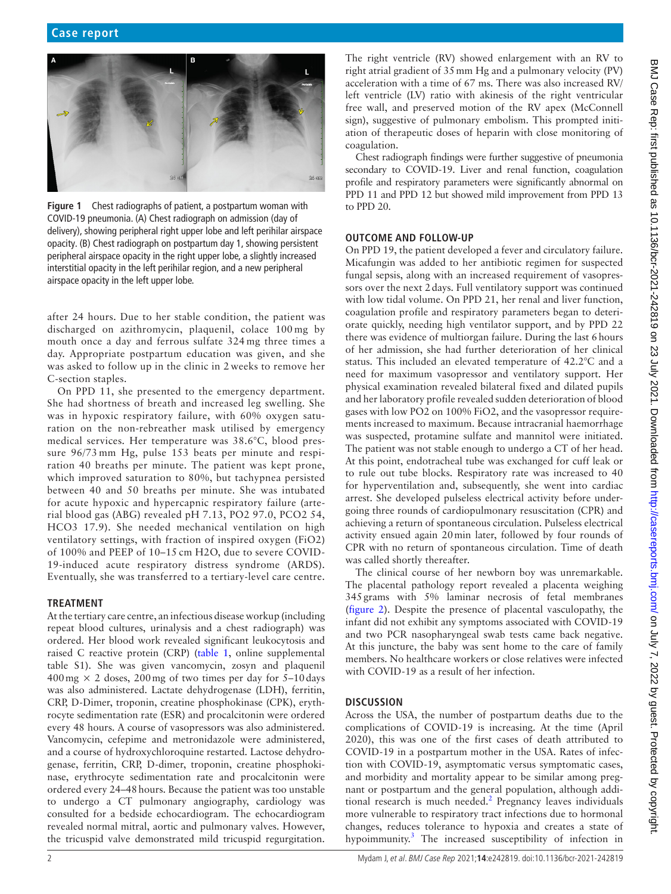<span id="page-1-0"></span>

**Figure 1** Chest radiographs of patient, a postpartum woman with COVID-19 pneumonia. (A) Chest radiograph on admission (day of delivery), showing peripheral right upper lobe and left perihilar airspace opacity. (B) Chest radiograph on postpartum day 1, showing persistent peripheral airspace opacity in the right upper lobe, a slightly increased interstitial opacity in the left perihilar region, and a new peripheral airspace opacity in the left upper lobe.

after 24 hours. Due to her stable condition, the patient was discharged on azithromycin, plaquenil, colace 100 mg by mouth once a day and ferrous sulfate 324 mg three times a day. Appropriate postpartum education was given, and she was asked to follow up in the clinic in 2 weeks to remove her C-section staples.

On PPD 11, she presented to the emergency department. She had shortness of breath and increased leg swelling. She was in hypoxic respiratory failure, with 60% oxygen saturation on the non-rebreather mask utilised by emergency medical services. Her temperature was 38.6°C, blood pressure 96/73 mm Hg, pulse 153 beats per minute and respiration 40 breaths per minute. The patient was kept prone, which improved saturation to 80%, but tachypnea persisted between 40 and 50 breaths per minute. She was intubated for acute hypoxic and hypercapnic respiratory failure (arterial blood gas (ABG) revealed pH 7.13, PO2 97.0, PCO2 54, HCO3 17.9). She needed mechanical ventilation on high ventilatory settings, with fraction of inspired oxygen (FiO2) of 100% and PEEP of 10–15 cm H2O, due to severe COVID-19-induced acute respiratory distress syndrome (ARDS). Eventually, she was transferred to a tertiary-level care centre.

# **TREATMENT**

At the tertiary care centre, an infectious disease workup (including repeat blood cultures, urinalysis and a chest radiograph) was ordered. Her blood work revealed significant leukocytosis and raised C reactive protein (CRP) [\(table](#page-2-0) 1, [online supplemental](https://dx.doi.org/10.1136/bcr-2021-242819)  [table S1\)](https://dx.doi.org/10.1136/bcr-2021-242819). She was given vancomycin, zosyn and plaquenil  $400 \,\text{mg} \times 2$  doses, 200 mg of two times per day for 5–10 days was also administered. Lactate dehydrogenase (LDH), ferritin, CRP, D-Dimer, troponin, creatine phosphokinase (CPK), erythrocyte sedimentation rate (ESR) and procalcitonin were ordered every 48 hours. A course of vasopressors was also administered. Vancomycin, cefepime and metronidazole were administered, and a course of hydroxychloroquine restarted. Lactose dehydrogenase, ferritin, CRP, D-dimer, troponin, creatine phosphokinase, erythrocyte sedimentation rate and procalcitonin were ordered every 24–48hours. Because the patient was too unstable to undergo a CT pulmonary angiography, cardiology was consulted for a bedside echocardiogram. The echocardiogram revealed normal mitral, aortic and pulmonary valves. However, the tricuspid valve demonstrated mild tricuspid regurgitation.

The right ventricle (RV) showed enlargement with an RV to right atrial gradient of 35mm Hg and a pulmonary velocity (PV) acceleration with a time of 67 ms. There was also increased RV/ left ventricle (LV) ratio with akinesis of the right ventricular free wall, and preserved motion of the RV apex (McConnell sign), suggestive of pulmonary embolism. This prompted initiation of therapeutic doses of heparin with close monitoring of coagulation.

Chest radiograph findings were further suggestive of pneumonia secondary to COVID-19. Liver and renal function, coagulation profile and respiratory parameters were significantly abnormal on PPD 11 and PPD 12 but showed mild improvement from PPD 13 to PPD 20.

# **OUTCOME AND FOLLOW-UP**

On PPD 19, the patient developed a fever and circulatory failure. Micafungin was added to her antibiotic regimen for suspected fungal sepsis, along with an increased requirement of vasopressors over the next 2days. Full ventilatory support was continued with low tidal volume. On PPD 21, her renal and liver function, coagulation profile and respiratory parameters began to deteriorate quickly, needing high ventilator support, and by PPD 22 there was evidence of multiorgan failure. During the last 6hours of her admission, she had further deterioration of her clinical status. This included an elevated temperature of 42.2°C and a need for maximum vasopressor and ventilatory support. Her physical examination revealed bilateral fixed and dilated pupils and her laboratory profile revealed sudden deterioration of blood gases with low PO2 on 100% FiO2, and the vasopressor requirements increased to maximum. Because intracranial haemorrhage was suspected, protamine sulfate and mannitol were initiated. The patient was not stable enough to undergo a CT of her head. At this point, endotracheal tube was exchanged for cuff leak or to rule out tube blocks. Respiratory rate was increased to 40 for hyperventilation and, subsequently, she went into cardiac arrest. She developed pulseless electrical activity before undergoing three rounds of cardiopulmonary resuscitation (CPR) and achieving a return of spontaneous circulation. Pulseless electrical activity ensued again 20min later, followed by four rounds of CPR with no return of spontaneous circulation. Time of death was called shortly thereafter.

The clinical course of her newborn boy was unremarkable. The placental pathology report revealed a placenta weighing 345grams with 5% laminar necrosis of fetal membranes ([figure](#page-3-0) 2). Despite the presence of placental vasculopathy, the infant did not exhibit any symptoms associated with COVID-19 and two PCR nasopharyngeal swab tests came back negative. At this juncture, the baby was sent home to the care of family members. No healthcare workers or close relatives were infected with COVID-19 as a result of her infection.

# **DISCUSSION**

Across the USA, the number of postpartum deaths due to the complications of COVID-19 is increasing. At the time (April 2020), this was one of the first cases of death attributed to COVID-19 in a postpartum mother in the USA. Rates of infection with COVID-19, asymptomatic versus symptomatic cases, and morbidity and mortality appear to be similar among pregnant or postpartum and the general population, although addi-tional research is much needed.<sup>[2](#page-4-1)</sup> Pregnancy leaves individuals more vulnerable to respiratory tract infections due to hormonal changes, reduces tolerance to hypoxia and creates a state of hypoimmunity.<sup>[3](#page-4-2)</sup> The increased susceptibility of infection in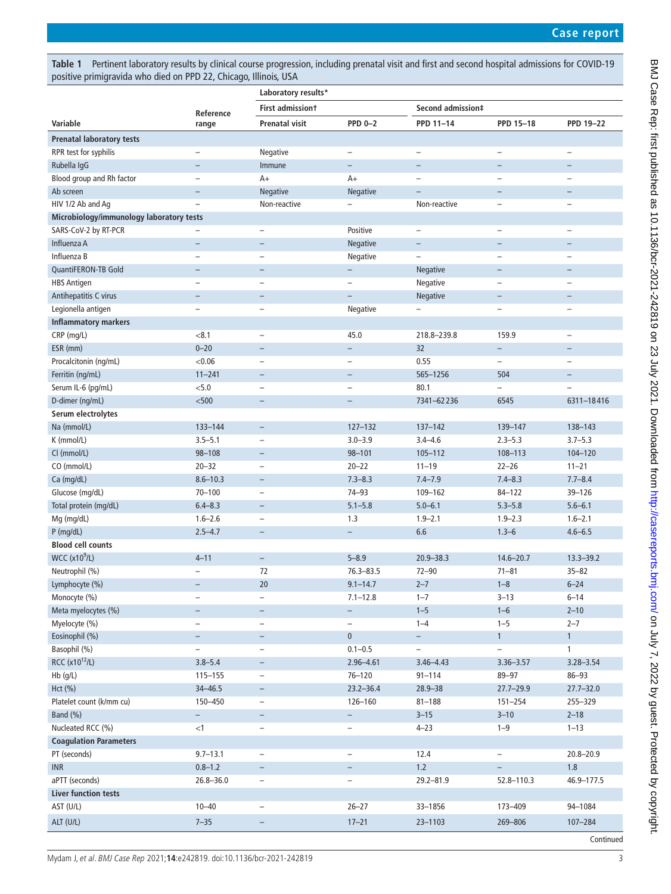<span id="page-2-0"></span>**Table 1** Pertinent laboratory results by clinical course progression, including prenatal visit and first and second hospital admissions for COVID-19 positive primigravida who died on PPD 22, Chicago, Illinois, USA

|                                          |                          | Laboratory results*      |                          |                          |                          |                          |  |
|------------------------------------------|--------------------------|--------------------------|--------------------------|--------------------------|--------------------------|--------------------------|--|
|                                          |                          | <b>First admissiont</b>  |                          | Second admission‡        |                          |                          |  |
| Variable                                 | Reference<br>range       | <b>Prenatal visit</b>    | <b>PPD 0-2</b>           | PPD 11-14                | PPD 15-18                | <b>PPD 19-22</b>         |  |
| <b>Prenatal laboratory tests</b>         |                          |                          |                          |                          |                          |                          |  |
| RPR test for syphilis                    |                          | Negative                 | $\qquad \qquad -$        |                          | $\overline{\phantom{0}}$ |                          |  |
| Rubella IgG                              | $\overline{\phantom{0}}$ | Immune                   | $\qquad \qquad -$        | $\overline{\phantom{0}}$ | $\overline{\phantom{0}}$ | $\overline{\phantom{0}}$ |  |
| Blood group and Rh factor                | $\overline{\phantom{0}}$ | $A+$                     | $A+$                     | $\overline{\phantom{0}}$ | $\overline{\phantom{0}}$ | $\overline{\phantom{0}}$ |  |
| Ab screen                                | $\overline{\phantom{0}}$ | Negative                 | <b>Negative</b>          | $\overline{\phantom{0}}$ | $\overline{\phantom{0}}$ | $\overline{\phantom{m}}$ |  |
| HIV 1/2 Ab and Aq                        | $\overline{\phantom{0}}$ | Non-reactive             |                          | Non-reactive             | $\qquad \qquad -$        | $\overline{\phantom{0}}$ |  |
| Microbiology/immunology laboratory tests |                          |                          |                          |                          |                          |                          |  |
| SARS-CoV-2 by RT-PCR                     |                          | $\qquad \qquad -$        | Positive                 | $\qquad \qquad -$        | $\overline{\phantom{0}}$ | $\overline{\phantom{0}}$ |  |
| Influenza A                              | $\overline{\phantom{0}}$ |                          | Negative                 | $\overline{\phantom{0}}$ |                          |                          |  |
| Influenza B                              | $\overline{\phantom{0}}$ |                          | Negative                 | $\overline{\phantom{0}}$ | $\overline{\phantom{0}}$ |                          |  |
| QuantiFERON-TB Gold                      | $\overline{\phantom{0}}$ | $\overline{\phantom{0}}$ | $\qquad \qquad -$        | Negative                 | $\qquad \qquad -$        |                          |  |
| <b>HBS Antigen</b>                       | $\overline{\phantom{0}}$ |                          | $\overline{\phantom{0}}$ | Negative                 | $\overline{\phantom{0}}$ |                          |  |
| Antihepatitis C virus                    | $\overline{\phantom{0}}$ | $\overline{\phantom{0}}$ | $\equiv$                 | Negative                 | $\overline{\phantom{0}}$ |                          |  |
| Legionella antigen                       | $\overline{\phantom{0}}$ | $\overline{\phantom{0}}$ | Negative                 | $\overline{\phantom{0}}$ | $\overline{\phantom{0}}$ |                          |  |
| <b>Inflammatory markers</b>              |                          |                          |                          |                          |                          |                          |  |
| CRP (mg/L)                               | < 8.1                    | $\overline{\phantom{0}}$ | 45.0                     | 218.8-239.8              | 159.9                    | $\overline{\phantom{0}}$ |  |
| ESR (mm)                                 | $0 - 20$                 | $\overline{\phantom{0}}$ | $\qquad \qquad -$        | 32                       | $\qquad \qquad -$        | $\overline{\phantom{0}}$ |  |
| Procalcitonin (ng/mL)                    | < 0.06                   |                          | $\overline{\phantom{0}}$ | 0.55                     | $\overline{\phantom{0}}$ |                          |  |
| Ferritin (ng/mL)                         | $11 - 241$               | $\qquad \qquad -$        | $\qquad \qquad -$        | 565-1256                 | 504                      | $\overline{\phantom{0}}$ |  |
| Serum IL-6 (pg/mL)                       | < 5.0                    | $\overline{\phantom{0}}$ | $\overline{\phantom{0}}$ | 80.1                     | $\overline{a}$           | $\overline{\phantom{0}}$ |  |
| D-dimer (ng/mL)                          | $500$                    | $\qquad \qquad -$        | $\qquad \qquad -$        | 7341-62236               | 6545                     | 6311-18416               |  |
| Serum electrolytes                       |                          |                          |                          |                          |                          |                          |  |
| Na (mmol/L)                              | 133-144                  | $\overline{\phantom{a}}$ | $127 - 132$              | $137 - 142$              | 139-147                  | 138-143                  |  |
| K (mmol/L)                               | $3.5 - 5.1$              | $\overline{\phantom{0}}$ | $3.0 - 3.9$              | $3.4 - 4.6$              | $2.3 - 5.3$              | $3.7 - 5.3$              |  |
| Cl (mmol/L)                              | 98-108                   | $\overline{\phantom{0}}$ | $98 - 101$               | $105 - 112$              | 108-113                  | 104-120                  |  |
| CO (mmol/L)                              | $20 - 32$                | $\overline{\phantom{0}}$ | $20 - 22$                | $11 - 19$                | $22 - 26$                | $11 - 21$                |  |
| Ca (mg/dL)                               | $8.6 - 10.3$             | $\overline{\phantom{0}}$ | $7.3 - 8.3$              | $7.4 - 7.9$              | $7.4 - 8.3$              | $7.7 - 8.4$              |  |
| Glucose (mg/dL)                          | $70 - 100$               |                          | $74 - 93$                | 109-162                  | $84 - 122$               | 39-126                   |  |
| Total protein (mg/dL)                    | $6.4 - 8.3$              | $\overline{\phantom{0}}$ | $5.1 - 5.8$              | $5.0 - 6.1$              | $5.3 - 5.8$              | $5.6 - 6.1$              |  |
| Mg (mg/dL)                               | $1.6 - 2.6$              | $\qquad \qquad -$        | 1.3                      | $1.9 - 2.1$              | $1.9 - 2.3$              | $1.6 - 2.1$              |  |
| $P$ (mg/dL)                              | $2.5 - 4.7$              | $\qquad \qquad -$        | $\qquad \qquad -$        | 6.6                      | $1.3 - 6$                | $4.6 - 6.5$              |  |
| <b>Blood cell counts</b>                 |                          |                          |                          |                          |                          |                          |  |
| <b>WCC (x10<sup>9</sup>/L)</b>           | $4 - 11$                 | $\overline{\phantom{a}}$ | $5 - 8.9$                | $20.9 - 38.3$            | $14.6 - 20.7$            | $13.3 - 39.2$            |  |
| Neutrophil (%)                           |                          | 72                       | $76.3 - 83.5$            | $72 - 90$                | $71 - 81$                | $35 - 82$                |  |
| Lymphocyte (%)                           | $\overline{\phantom{0}}$ | 20                       | $9.1 - 14.7$             | $2 - 7$                  | $1 - 8$                  | $6 - 24$                 |  |
| Monocyte (%)                             | -                        | $\qquad \qquad -$        | $7.1 - 12.8$             | $1 - 7$                  | $3 - 13$                 | $6 - 14$                 |  |
| Meta myelocytes (%)                      | $\overline{\phantom{0}}$ | $\overline{\phantom{a}}$ | $\overline{\phantom{0}}$ | $1 - 5$                  | $1 - 6$                  | $2 - 10$                 |  |
| Myelocyte (%)                            | $\overline{\phantom{0}}$ | $\qquad \qquad -$        | $\qquad \qquad -$        | $1 - 4$                  | $1 - 5$                  | $2 - 7$                  |  |
| Eosinophil (%)                           | $\overline{\phantom{0}}$ | $\qquad \qquad -$        | $\mathbf 0$              | $\overline{\phantom{0}}$ | 1                        | $\mathbf{1}$             |  |
| Basophil (%)                             | $\overline{\phantom{0}}$ | $\overline{\phantom{a}}$ | $0.1 - 0.5$              | $\overline{\phantom{0}}$ | $\overline{\phantom{0}}$ | 1                        |  |
| RCC (x10 <sup>12</sup> /L)               | $3.8 - 5.4$              | $\overline{\phantom{a}}$ | $2.96 - 4.61$            | $3.46 - 4.43$            | $3.36 - 3.57$            | $3.28 - 3.54$            |  |
| Hb (g/L)                                 | $115 - 155$              | $\overline{\phantom{a}}$ | $76 - 120$               | $91 - 114$               | 89-97                    | $86 - 93$                |  |
| Hct (%)                                  | $34 - 46.5$              | $\overline{\phantom{a}}$ | $23.2 - 36.4$            | $28.9 - 38$              | $27.7 - 29.9$            | $27.7 - 32.0$            |  |
| Platelet count (k/mm cu)                 | 150-450                  | $\qquad \qquad -$        | 126-160                  | $81 - 188$               | $151 - 254$              | 255-329                  |  |
| Band (%)                                 | $\overline{\phantom{0}}$ | $-$                      | $\overline{\phantom{0}}$ | $3 - 15$                 | $3 - 10$                 | $2 - 18$                 |  |
| Nucleated RCC (%)                        | $<$ 1                    | $\qquad \qquad -$        | $\qquad \qquad -$        | $4 - 23$                 | $1 - 9$                  | $1 - 13$                 |  |
| <b>Coagulation Parameters</b>            |                          |                          |                          |                          |                          |                          |  |
| PT (seconds)                             | $9.7 - 13.1$             | $\qquad \qquad -$        | $\qquad \qquad -$        | 12.4                     | $\qquad \qquad -$        | $20.8 - 20.9$            |  |
| <b>INR</b>                               | $0.8 - 1.2$              | $\overline{\phantom{a}}$ | $\qquad \qquad -$        | $1.2$                    | $\overline{\phantom{0}}$ | 1.8                      |  |
| aPTT (seconds)                           | $26.8 - 36.0$            | $\qquad \qquad -$        | $\overline{\phantom{0}}$ | $29.2 - 81.9$            | 52.8-110.3               | 46.9-177.5               |  |
| <b>Liver function tests</b>              |                          |                          |                          |                          |                          |                          |  |
| AST (U/L)                                | $10 - 40$                | $\overline{\phantom{a}}$ | $26 - 27$                | 33-1856                  | 173-409                  | 94-1084                  |  |
| ALT (U/L)                                | $7 - 35$                 |                          | $17 - 21$                | 23-1103                  | 269-806                  | 107-284                  |  |
|                                          |                          |                          |                          |                          |                          | Continued                |  |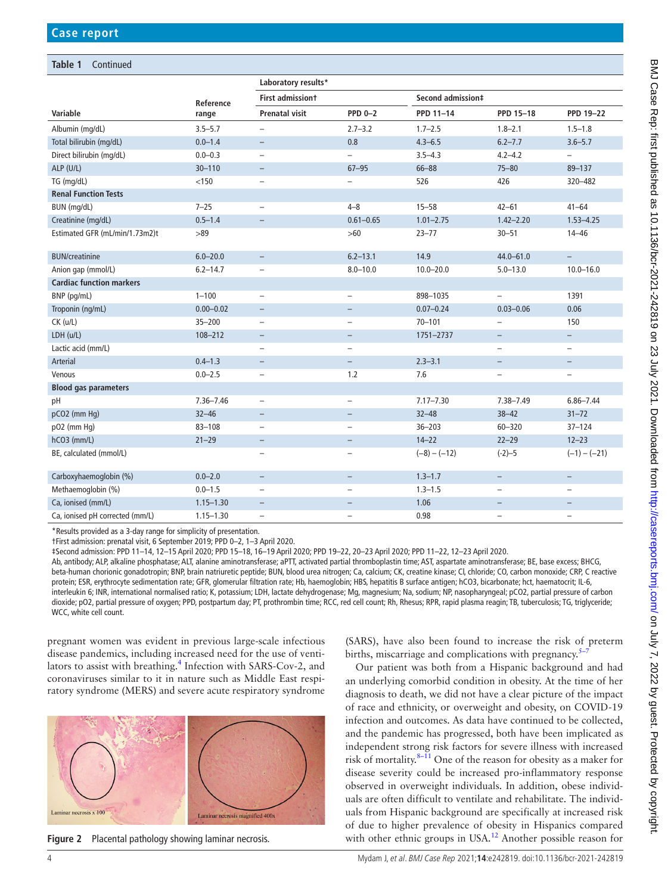## **Table 1** Continued

|                                 |               | Laboratory results*      |                          |                   |                          |                          |  |  |
|---------------------------------|---------------|--------------------------|--------------------------|-------------------|--------------------------|--------------------------|--|--|
|                                 | Reference     | <b>First admissiont</b>  |                          | Second admission‡ |                          |                          |  |  |
| Variable                        | range         | <b>Prenatal visit</b>    | <b>PPD 0-2</b>           | PPD 11-14         | PPD 15-18                | <b>PPD 19-22</b>         |  |  |
| Albumin (mg/dL)                 | $3.5 - 5.7$   | $\overline{\phantom{0}}$ | $2.7 - 3.2$              | $1.7 - 2.5$       | $1.8 - 2.1$              | $1.5 - 1.8$              |  |  |
| Total bilirubin (mg/dL)         | $0.0 - 1.4$   | $\overline{\phantom{0}}$ | 0.8                      | $4.3 - 6.5$       | $6.2 - 7.7$              | $3.6 - 5.7$              |  |  |
| Direct bilirubin (mg/dL)        | $0.0 - 0.3$   |                          |                          | $3.5 - 4.3$       | $4.2 - 4.2$              | $\overline{a}$           |  |  |
| ALP (U/L)                       | $30 - 110$    | $\qquad \qquad -$        | $67 - 95$                | $66 - 88$         | $75 - 80$                | 89-137                   |  |  |
| TG (mg/dL)                      | < 150         | $\overline{\phantom{0}}$ | $\overline{\phantom{0}}$ | 526               | 426                      | 320-482                  |  |  |
| <b>Renal Function Tests</b>     |               |                          |                          |                   |                          |                          |  |  |
| BUN (mg/dL)                     | $7 - 25$      | $\overline{\phantom{0}}$ | $4 - 8$                  | $15 - 58$         | $42 - 61$                | $41 - 64$                |  |  |
| Creatinine (mg/dL)              | $0.5 - 1.4$   | $\overline{\phantom{0}}$ | $0.61 - 0.65$            | $1.01 - 2.75$     | $1.42 - 2.20$            | $1.53 - 4.25$            |  |  |
| Estimated GFR (mL/min/1.73m2)t  | >89           |                          | $>60$                    | $23 - 77$         | $30 - 51$                | $14 - 46$                |  |  |
| <b>BUN/creatinine</b>           | $6.0 - 20.0$  | $\overline{\phantom{0}}$ | $6.2 - 13.1$             | 14.9              | $44.0 - 61.0$            | $\equiv$                 |  |  |
| Anion qap (mmol/L)              | $6.2 - 14.7$  | $\overline{\phantom{0}}$ | $8.0 - 10.0$             | $10.0 - 20.0$     | $5.0 - 13.0$             | $10.0 - 16.0$            |  |  |
| <b>Cardiac function markers</b> |               |                          |                          |                   |                          |                          |  |  |
| BNP (pg/mL)                     | $1 - 100$     | $\overline{\phantom{0}}$ | $\overline{\phantom{0}}$ | 898-1035          | $\overline{\phantom{0}}$ | 1391                     |  |  |
| Troponin (ng/mL)                | $0.00 - 0.02$ | $\qquad \qquad -$        | $\overline{\phantom{a}}$ | $0.07 - 0.24$     | $0.03 - 0.06$            | 0.06                     |  |  |
| $CK$ ( $u/L$ )                  | $35 - 200$    |                          | $\overline{\phantom{0}}$ | $70 - 101$        |                          | 150                      |  |  |
| LDH (u/L)                       | 108-212       | $\overline{\phantom{0}}$ | $\overline{\phantom{m}}$ | 1751-2737         | $-$                      | $\overline{\phantom{m}}$ |  |  |
| Lactic acid (mm/L)              |               | $\overline{\phantom{0}}$ | $\overline{\phantom{0}}$ |                   | $\overline{\phantom{0}}$ | $\overline{\phantom{0}}$ |  |  |
| Arterial                        | $0.4 - 1.3$   | $\overline{\phantom{0}}$ | $\overline{\phantom{a}}$ | $2.3 - 3.1$       | $\overline{\phantom{0}}$ | $\overline{\phantom{0}}$ |  |  |
| Venous                          | $0.0 - 2.5$   | $\qquad \qquad -$        | 1.2                      | 7.6               | $\overline{\phantom{0}}$ | $\overline{\phantom{m}}$ |  |  |
| <b>Blood gas parameters</b>     |               |                          |                          |                   |                          |                          |  |  |
| pH                              | $7.36 - 7.46$ | $\qquad \qquad -$        | $\qquad \qquad -$        | $7.17 - 7.30$     | 7.38-7.49                | $6.86 - 7.44$            |  |  |
| pCO2 (mm Hq)                    | $32 - 46$     | $\qquad \qquad -$        | $\overline{\phantom{a}}$ | $32 - 48$         | $38 - 42$                | $31 - 72$                |  |  |
| p02 (mm Hg)                     | $83 - 108$    | $\qquad \qquad -$        | $\qquad \qquad -$        | $36 - 203$        | $60 - 320$               | $37 - 124$               |  |  |
| hCO3 (mm/L)                     | $21 - 29$     | $\overline{\phantom{0}}$ | $\overline{\phantom{m}}$ | $14 - 22$         | $22 - 29$                | $12 - 23$                |  |  |
| BE, calculated (mmol/L)         |               |                          | $\overline{\phantom{0}}$ | $(-8) - (-12)$    | $(-2) - 5$               | $(-1) - (-21)$           |  |  |
| Carboxyhaemoglobin (%)          | $0.0 - 2.0$   | $\overline{\phantom{a}}$ | $\qquad \qquad -$        | $1.3 - 1.7$       | $\qquad \qquad -$        | $\overline{\phantom{a}}$ |  |  |
| Methaemoglobin (%)              | $0.0 - 1.5$   | $\overline{\phantom{0}}$ | $\overline{a}$           | $1.3 - 1.5$       | $\overline{a}$           | $\overline{\phantom{0}}$ |  |  |
| Ca, ionised (mm/L)              | $1.15 - 1.30$ | $\overline{\phantom{0}}$ | $\overline{\phantom{0}}$ | 1.06              | $\overline{\phantom{0}}$ |                          |  |  |
| Ca, ionised pH corrected (mm/L) | $1.15 - 1.30$ | $\overline{\phantom{0}}$ | $\overline{\phantom{m}}$ | 0.98              | $\overline{\phantom{0}}$ | $\overline{\phantom{0}}$ |  |  |

\*Results provided as a 3-day range for simplicity of presentation.

†First admission: prenatal visit, 6 September 2019; PPD 0–2, 1–3 April 2020.

‡Second admission: PPD 11–14, 12–15 April 2020; PPD 15–18, 16–19 April 2020; PPD 19–22, 20–23 April 2020; PPD 11–22, 12–23 April 2020.

Ab, antibody; ALP, alkaline phosphatase; ALT, alanine aminotransferase; aPTT, activated partial thromboplastin time; AST, aspartate aminotransferase; BE, base excess; BHCG, beta-human chorionic gonadotropin; BNP, brain natriuretic peptide; BUN, blood urea nitrogen; Ca, calcium; CK, creatine kinase; Cl, chloride; CO, carbon monoxide; CRP, C reactive protein; ESR, erythrocyte sedimentation rate; GFR, glomerular filtration rate; Hb, haemoglobin; HBS, hepatitis B surface antigen; hCO3, bicarbonate; hct, haematocrit; IL-6, interleukin 6; INR, international normalised ratio; K, potassium; LDH, lactate dehydrogenase; Mg, magnesium; Na, sodium; NP, nasopharyngeal; pCO2, partial pressure of carbon dioxide; pO2, partial pressure of oxygen; PPD, postpartum day; PT, prothrombin time; RCC, red cell count; Rh, Rhesus; RPR, rapid plasma reagin; TB, tuberculosis; TG, triglyceride; WCC, white cell count.

pregnant women was evident in previous large-scale infectious disease pandemics, including increased need for the use of venti-lators to assist with breathing.<sup>[4](#page-4-3)</sup> Infection with SARS-Cov-2, and coronaviruses similar to it in nature such as Middle East respiratory syndrome (MERS) and severe acute respiratory syndrome



<span id="page-3-0"></span>**Figure 2** Placental pathology showing laminar necrosis.

(SARS), have also been found to increase the risk of preterm births, miscarriage and complications with pregnancy.<sup>5</sup>

Our patient was both from a Hispanic background and had an underlying comorbid condition in obesity. At the time of her diagnosis to death, we did not have a clear picture of the impact of race and ethnicity, or overweight and obesity, on COVID-19 infection and outcomes. As data have continued to be collected, and the pandemic has progressed, both have been implicated as independent strong risk factors for severe illness with increased risk of mortality. $8-11$  One of the reason for obesity as a maker for disease severity could be increased pro-inflammatory response observed in overweight individuals. In addition, obese individuals are often difficult to ventilate and rehabilitate. The individuals from Hispanic background are specifically at increased risk of due to higher prevalence of obesity in Hispanics compared with other ethnic groups in USA.<sup>12</sup> Another possible reason for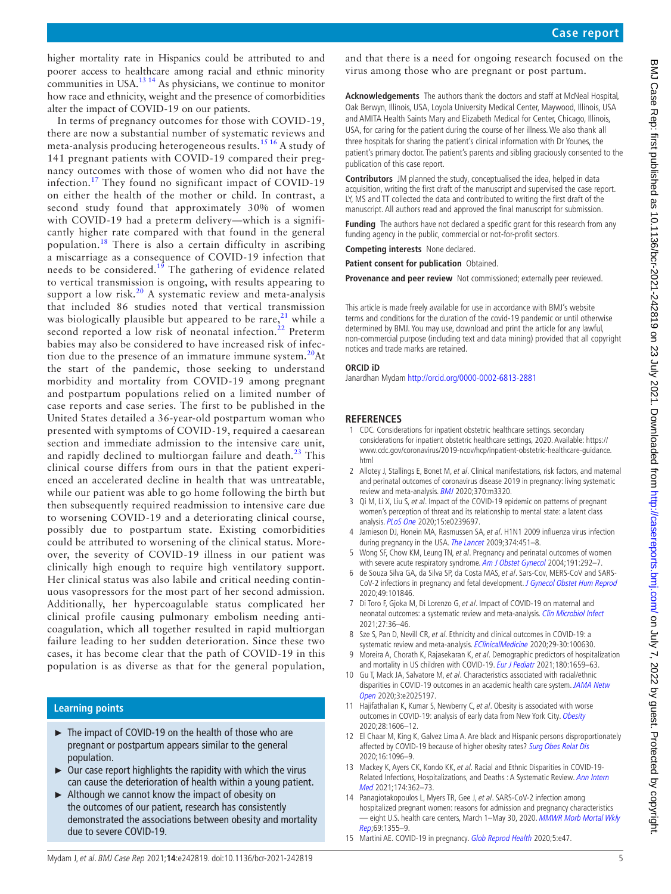higher mortality rate in Hispanics could be attributed to and poorer access to healthcare among racial and ethnic minority communities in USA.<sup>13 14</sup> As physicians, we continue to monitor how race and ethnicity, weight and the presence of comorbidities alter the impact of COVID-19 on our patients.

In terms of pregnancy outcomes for those with COVID-19, there are now a substantial number of systematic reviews and meta-analysis producing heterogeneous results.[15 16](#page-4-8) A study of 141 pregnant patients with COVID-19 compared their pregnancy outcomes with those of women who did not have the infection.[17](#page-5-0) They found no significant impact of COVID-19 on either the health of the mother or child. In contrast, a second study found that approximately 30% of women with COVID-19 had a preterm delivery—which is a significantly higher rate compared with that found in the general population.<sup>18</sup> There is also a certain difficulty in ascribing a miscarriage as a consequence of COVID-19 infection that needs to be considered.<sup>[19](#page-5-2)</sup> The gathering of evidence related to vertical transmission is ongoing, with results appearing to support a low risk.<sup>20</sup> A systematic review and meta-analysis that included 86 studies noted that vertical transmission was biologically plausible but appeared to be rare,  $21$  while a second reported a low risk of neonatal infection.<sup>[22](#page-5-5)</sup> Preterm babies may also be considered to have increased risk of infection due to the presence of an immature immune system. $20$ At the start of the pandemic, those seeking to understand morbidity and mortality from COVID-19 among pregnant and postpartum populations relied on a limited number of case reports and case series. The first to be published in the United States detailed a 36-year-old postpartum woman who presented with symptoms of COVID-19, required a caesarean section and immediate admission to the intensive care unit, and rapidly declined to multiorgan failure and death. $^{23}$  This clinical course differs from ours in that the patient experienced an accelerated decline in health that was untreatable, while our patient was able to go home following the birth but then subsequently required readmission to intensive care due to worsening COVID-19 and a deteriorating clinical course, possibly due to postpartum state. Existing comorbidities could be attributed to worsening of the clinical status. Moreover, the severity of COVID-19 illness in our patient was clinically high enough to require high ventilatory support. Her clinical status was also labile and critical needing continuous vasopressors for the most part of her second admission. Additionally, her hypercoagulable status complicated her clinical profile causing pulmonary embolism needing anticoagulation, which all together resulted in rapid multiorgan failure leading to her sudden deterioration. Since these two cases, it has become clear that the path of COVID-19 in this population is as diverse as that for the general population,

# **Learning points**

- ► The impact of COVID-19 on the health of those who are pregnant or postpartum appears similar to the general population.
- $\triangleright$  Our case report highlights the rapidity with which the virus can cause the deterioration of health within a young patient.
- ► Although we cannot know the impact of obesity on the outcomes of our patient, research has consistently demonstrated the associations between obesity and mortality due to severe COVID-19.

and that there is a need for ongoing research focused on the virus among those who are pregnant or post partum.

**Acknowledgements** The authors thank the doctors and staff at McNeal Hospital, Oak Berwyn, Illinois, USA, Loyola University Medical Center, Maywood, Illinois, USA and AMITA Health Saints Mary and Elizabeth Medical for Center, Chicago, Illinois, USA, for caring for the patient during the course of her illness. We also thank all three hospitals for sharing the patient's clinical information with Dr Younes, the patient's primary doctor. The patient's parents and sibling graciously consented to the publication of this case report.

**Contributors** JM planned the study, conceptualised the idea, helped in data acquisition, writing the first draft of the manuscript and supervised the case report. LY, MS and TT collected the data and contributed to writing the first draft of the manuscript. All authors read and approved the final manuscript for submission.

**Funding** The authors have not declared a specific grant for this research from any funding agency in the public, commercial or not-for-profit sectors.

**Competing interests** None declared.

**Patient consent for publication** Obtained.

**Provenance and peer review** Not commissioned; externally peer reviewed.

This article is made freely available for use in accordance with BMJ's website terms and conditions for the duration of the covid-19 pandemic or until otherwise determined by BMJ. You may use, download and print the article for any lawful, non-commercial purpose (including text and data mining) provided that all copyright notices and trade marks are retained.

#### **ORCID iD**

Janardhan Mydam<http://orcid.org/0000-0002-6813-2881>

## **REFERENCES**

- <span id="page-4-0"></span>1 CDC. Considerations for inpatient obstetric healthcare settings. secondary considerations for inpatient obstetric healthcare settings, 2020. Available: [https://](https://www.cdc.gov/coronavirus/2019-ncov/hcp/inpatient-obstetric-healthcare-guidance.html) [www.cdc.gov/coronavirus/2019-ncov/hcp/inpatient-obstetric-healthcare-guidance.](https://www.cdc.gov/coronavirus/2019-ncov/hcp/inpatient-obstetric-healthcare-guidance.html) [html](https://www.cdc.gov/coronavirus/2019-ncov/hcp/inpatient-obstetric-healthcare-guidance.html)
- <span id="page-4-1"></span>2 Allotey J, Stallings E, Bonet M, et al. Clinical manifestations, risk factors, and maternal and perinatal outcomes of coronavirus disease 2019 in pregnancy: living systematic review and meta-analysis. **[BMJ](http://dx.doi.org/10.1136/bmj.m3320)** 2020;370:m3320.
- <span id="page-4-2"></span>3 Qi M, Li X, Liu S, et al. Impact of the COVID-19 epidemic on patterns of pregnant women's perception of threat and its relationship to mental state: a latent class analysis. [PLoS One](http://dx.doi.org/10.1371/journal.pone.0239697) 2020;15:e0239697.
- <span id="page-4-3"></span>4 Jamieson DJ, Honein MA, Rasmussen SA, et al. H1N1 2009 influenza virus infection during pregnancy in the USA. [The Lancet](http://dx.doi.org/10.1016/S0140-6736(09)61304-0) 2009;374:451-8.
- <span id="page-4-4"></span>5 Wong SF, Chow KM, Leung TN, et al. Pregnancy and perinatal outcomes of women with severe acute respiratory syndrome. [Am J Obstet Gynecol](http://dx.doi.org/10.1016/j.ajog.2003.11.019) 2004;191:292-7.
- 6 de Souza Silva GA, da Silva SP, da Costa MAS, et al. Sars-Cov, MERS-CoV and SARS-CoV-2 infections in pregnancy and fetal development. [J Gynecol Obstet Hum Reprod](http://dx.doi.org/10.1016/j.jogoh.2020.101846) 2020;49:101846.
- 7 Di Toro F, Gjoka M, Di Lorenzo G, et al. Impact of COVID-19 on maternal and neonatal outcomes: a systematic review and meta-analysis. [Clin Microbiol Infect](http://dx.doi.org/10.1016/j.cmi.2020.10.007) 2021;27:36–46.
- <span id="page-4-5"></span>8 Sze S, Pan D, Nevill CR, et al. Ethnicity and clinical outcomes in COVID-19: a systematic review and meta-analysis. [EClinicalMedicine](http://dx.doi.org/10.1016/j.eclinm.2020.100630) 2020;29-30:100630.
- 9 Moreira A, Chorath K, Rajasekaran K, et al. Demographic predictors of hospitalization and mortality in US children with COVID-19. [Eur J Pediatr](http://dx.doi.org/10.1007/s00431-021-03955-x) 2021;180:1659-63.
- 10 Gu T, Mack JA, Salvatore M, et al. Characteristics associated with racial/ethnic disparities in COVID-19 outcomes in an academic health care system. JAMA Netw [Open](http://dx.doi.org/10.1001/jamanetworkopen.2020.25197) 2020;3:e2025197.
- 11 Hajifathalian K, Kumar S, Newberry C, et al. Obesity is associated with worse outcomes in COVID-19: analysis of early data from New York City. [Obesity](http://dx.doi.org/10.1002/oby.22923) 2020;28:1606–12.
- <span id="page-4-6"></span>12 El Chaar M, King K, Galvez Lima A. Are black and Hispanic persons disproportionately affected by COVID-19 because of higher obesity rates? [Surg Obes Relat Dis](http://dx.doi.org/10.1016/j.soard.2020.04.038) 2020;16:1096–9.
- <span id="page-4-7"></span>13 Mackey K, Ayers CK, Kondo KK, et al. Racial and Ethnic Disparities in COVID-19-Related Infections, Hospitalizations, and Deaths : A Systematic Review. Ann Intern [Med](http://dx.doi.org/10.7326/M20-6306) 2021;174:362–73.
- 14 Panagiotakopoulos L, Myers TR, Gee J, et al. SARS-CoV-2 infection among hospitalized pregnant women: reasons for admission and pregnancy characteristics – eight U.S. health care centers, March 1–May 30, 2020. MMWR Morb Mortal Wkly [Rep](http://dx.doi.org/10.15585/mmwr.mm6938e2);69:1355–9.
- <span id="page-4-8"></span>15 Martini AE. COVID-19 in pregnancy. [Glob Reprod Health](http://dx.doi.org/10.1097/GRH.0000000000000047) 2020;5:e47.